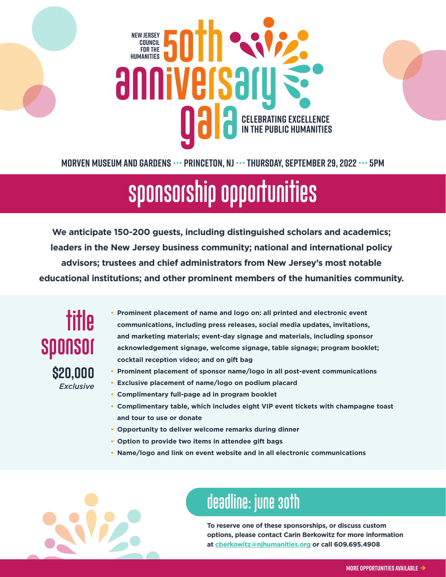#### **New Jersey Council for the Humanities** anniversar **Celebrating Excellence in the Public Humanities**

**Morven Museum and Gardens ••• Princeton, NJ •••Thursday, September 29, 2022••• 5PM**

# **Sponsorship Opportunities**

**We anticipate 150-200 guests, including distinguished scholars and academics; leaders in the New Jersey business community; national and international policy advisors; trustees and chief administrators from New Jersey's most notable educational institutions; and other prominent members of the humanities community.**

**title sponsor \$20,000** *Exclusive*

- **• Prominent placement of name and logo on: all printed and electronic event communications, including press releases, social media updates, invitations, and marketing materials; event-day signage and materials, including sponsor acknowledgement signage, welcome signage, table signage; program booklet; cocktail reception video; and on gift bag**
- **• Prominent placement of sponsor name/logo in all post-event communications**
- **• Exclusive placement of name/logo on podium placard**
- **• Complimentary full-page ad in program booklet**
- **• Complimentary table, which includes eight VIP event tickets with champagne toast and tour to use or donate**
- **• Opportunity to deliver welcome remarks during dinner**
- **• Option to provide two items in attendee gift bags**
- **• Name/logo and link on event website and in all electronic communications**



### **deadline: june 30th**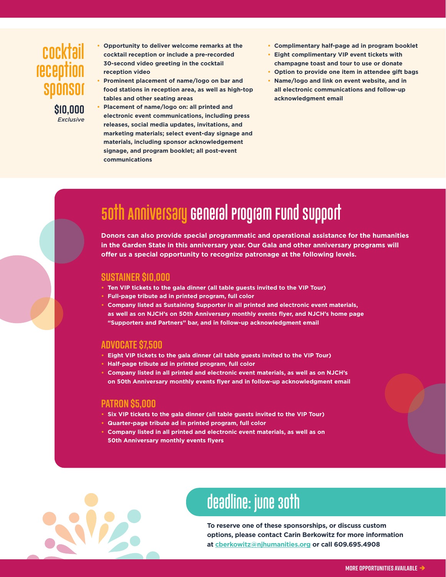#### **cocktail reception sponsor \$10,000**

*Exclusive*

- **• Opportunity to deliver welcome remarks at the cocktail reception or include a pre-recorded 30-second video greeting in the cocktail reception video**
- **• Prominent placement of name/logo on bar and food stations in reception area, as well as high-top tables and other seating areas**
- **• Placement of name/logo on: all printed and electronic event communications, including press releases, social media updates, invitations, and marketing materials; select event-day signage and materials, including sponsor acknowledgement signage, and program booklet; all post-event communications**
- **• Complimentary half-page ad in program booklet**
- **• Eight complimentary VIP event tickets with champagne toast and tour to use or donate**
- **• Option to provide one item in attendee gift bags**
- **• Name/logo and link on event website, and in all electronic communications and follow-up acknowledgment email**

# **50th Anniversary General Program Fund Support**

**Donors can also provide special programmatic and operational assistance for the humanities in the Garden State in this anniversary year. Our Gala and other anniversary programs will offer us a special opportunity to recognize patronage at the following levels.** 

#### **Sustainer \$10,000**

- **• Ten VIP tickets to the gala dinner (all table guests invited to the VIP Tour)**
- **• Full-page tribute ad in printed program, full color**
- **• Company listed as Sustaining Supporter in all printed and electronic event materials, as well as on NJCH's on 50th Anniversary monthly events flyer, and NJCH's home page "Supporters and Partners" bar, and in follow-up acknowledgment email**

#### **Advocate \$7,500**

- **• Eight VIP tickets to the gala dinner (all table guests invited to the VIP Tour)**
- **• Half-page tribute ad in printed program, full color**
- **• Company listed in all printed and electronic event materials, as well as on NJCH's on 50th Anniversary monthly events flyer and in follow-up acknowledgment email**

#### **Patron \$5,000**

- **• Six VIP tickets to the gala dinner (all table guests invited to the VIP Tour)**
- **• Quarter-page tribute ad in printed program, full color**
- **• Company listed in all printed and electronic event materials, as well as on 50th Anniversary monthly events flyers**



### **deadline: june 30th**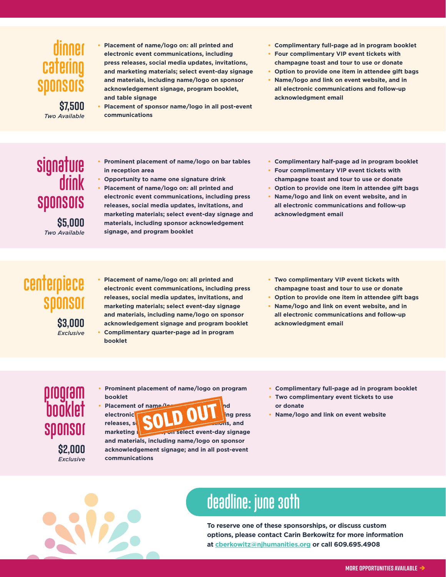### **dinner catering sponsors**

**\$7,500** *Two Available* **• Placement of name/logo on: all printed and electronic event communications, including press releases, social media updates, invitations, and marketing materials; select event-day signage and materials, including name/logo on sponsor acknowledgement signage, program booklet, and table signage** 

**• Placement of sponsor name/logo in all post-event communications**

- **• Complimentary full-page ad in program booklet**
- **• Four complimentary VIP event tickets with champagne toast and tour to use or donate**
- **• Option to provide one item in attendee gift bags**
- **• Name/logo and link on event website, and in all electronic communications and follow-up acknowledgment email**

#### **signature drink sponsors \$5,000** *Two Available*

- **• Prominent placement of name/logo on bar tables in reception area**
- **• Opportunity to name one signature drink**

**• Placement of name/logo on: all printed and electronic event communications, including press releases, social media updates, invitations, and marketing materials; select event-day signage and materials, including sponsor acknowledgement signage, and program booklet** 

- **• Complimentary half-page ad in program booklet**
- **• Four complimentary VIP event tickets with champagne toast and tour to use or donate**
- **• Option to provide one item in attendee gift bags**
- **• Name/logo and link on event website, and in all electronic communications and follow-up acknowledgment email**

## **centerpiece sponsor**

**\$3,000** *Exclusive*  **• Placement of name/logo on: all printed and electronic event communications, including press releases, social media updates, invitations, and marketing materials; select event-day signage and materials, including name/logo on sponsor acknowledgement signage and program booklet • Complimentary quarter-page ad in program booklet**

- **• Two complimentary VIP event tickets with champagne toast and tour to use or donate**
- **• Option to provide one item in attendee gift bags**
- **• Name/logo and link on event website, and in all electronic communications and follow-up acknowledgment email**

**program booklet sponsor \$2,000** 

*Exclusive*

**• Prominent placement of name/logo on program booklet**



- **• Complimentary full-page ad in program booklet**
- **• Two complimentary event tickets to use or donate**
- **• Name/logo and link on event website**



### **deadline: june 30th**